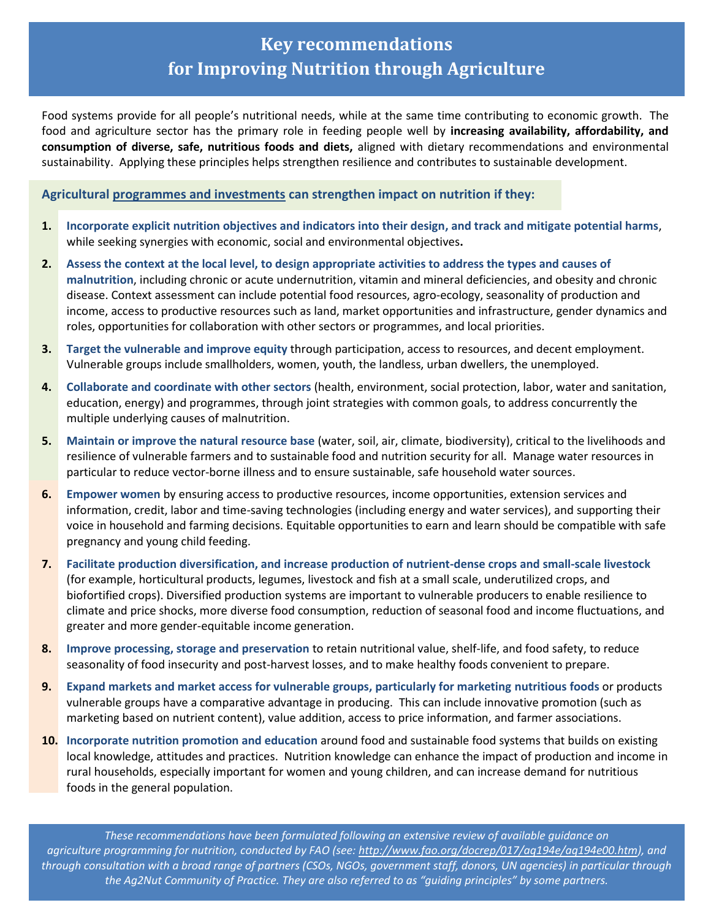## **Key recommendations for Improving Nutrition through Agriculture**

Food systems provide for all people's nutritional needs, while at the same time contributing to economic growth. The food and agriculture sector has the primary role in feeding people well by **increasing availability, affordability, and consumption of diverse, safe, nutritious foods and diets,** aligned with dietary recommendations and environmental sustainability. Applying these principles helps strengthen resilience and contributes to sustainable development.

## **Agricultural programmes and investments can strengthen impact on nutrition if they:**

- **1. Incorporate explicit nutrition objectives and indicators into their design, and track and mitigate potential harms**, while seeking synergies with economic, social and environmental objectives**.**
- **2. Assess the context at the local level, to design appropriate activities to address the types and causes of malnutrition**, including chronic or acute undernutrition, vitamin and mineral deficiencies, and obesity and chronic disease. Context assessment can include potential food resources, agro-ecology, seasonality of production and income, access to productive resources such as land, market opportunities and infrastructure, gender dynamics and roles, opportunities for collaboration with other sectors or programmes, and local priorities.
- **3. Target the vulnerable and improve equity** through participation, access to resources, and decent employment. Vulnerable groups include smallholders, women, youth, the landless, urban dwellers, the unemployed.
- **4. Collaborate and coordinate with other sectors** (health, environment, social protection, labor, water and sanitation, education, energy) and programmes, through joint strategies with common goals, to address concurrently the multiple underlying causes of malnutrition.
- **5. Maintain or improve the natural resource base** (water, soil, air, climate, biodiversity), critical to the livelihoods and resilience of vulnerable farmers and to sustainable food and nutrition security for all. Manage water resources in particular to reduce vector-borne illness and to ensure sustainable, safe household water sources.
- **6. Empower women** by ensuring access to productive resources, income opportunities, extension services and information, credit, labor and time-saving technologies (including energy and water services), and supporting their voice in household and farming decisions. Equitable opportunities to earn and learn should be compatible with safe pregnancy and young child feeding.
- **7. Facilitate production diversification, and increase production of nutrient-dense crops and small-scale livestock** (for example, horticultural products, legumes, livestock and fish at a small scale, underutilized crops, and biofortified crops). Diversified production systems are important to vulnerable producers to enable resilience to climate and price shocks, more diverse food consumption, reduction of seasonal food and income fluctuations, and greater and more gender-equitable income generation.
- **8. Improve processing, storage and preservation** to retain nutritional value, shelf-life, and food safety, to reduce seasonality of food insecurity and post-harvest losses, and to make healthy foods convenient to prepare.
- **9. Expand markets and market access for vulnerable groups, particularly for marketing nutritious foods** or products vulnerable groups have a comparative advantage in producing. This can include innovative promotion (such as marketing based on nutrient content), value addition, access to price information, and farmer associations.
- **10. Incorporate nutrition promotion and education** around food and sustainable food systems that builds on existing local knowledge, attitudes and practices. Nutrition knowledge can enhance the impact of production and income in rural households, especially important for women and young children, and can increase demand for nutritious foods in the general population.

*These recommendations have been formulated following an extensive review of available guidance on agriculture programming for nutrition, conducted by FAO (see: [http://www.fao.org/docrep/017/aq194e/aq194e00.htm\)](http://www.fao.org/docrep/017/aq194e/aq194e00.htm), and through consultation with a broad range of partners (CSOs, NGOs, government staff, donors, UN agencies) in particular through the Ag2Nut Community of Practice. They are also referred to as "guiding principles" by some partners.*